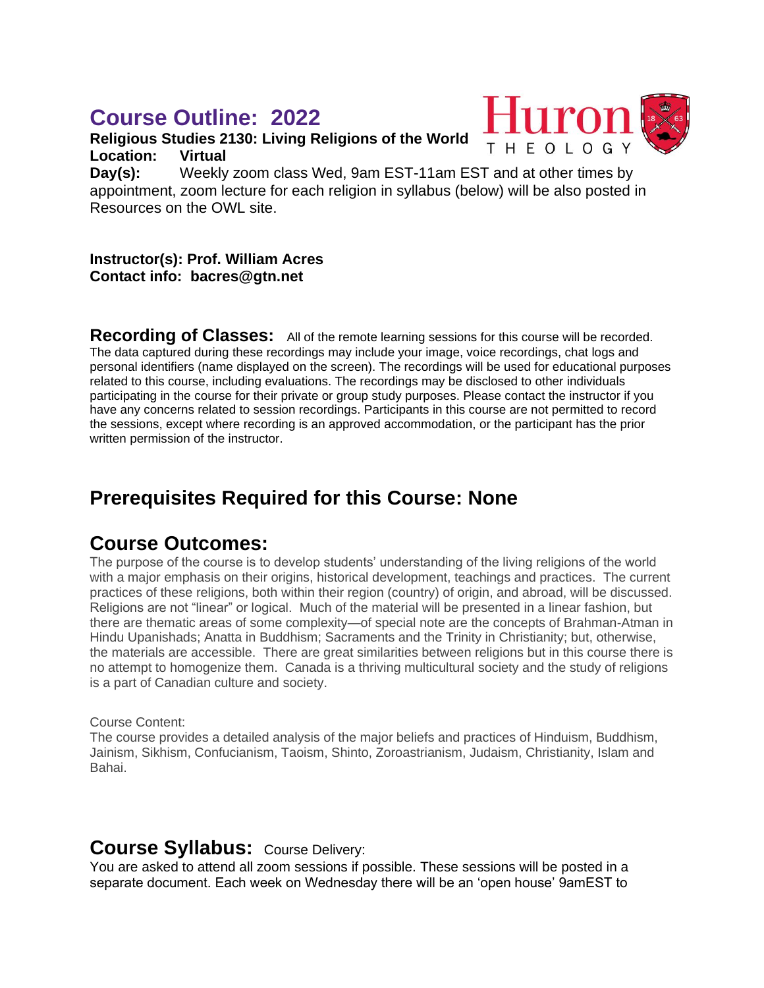# **Course Outline: 2022**

**Religious Studies 2130: Living Religions of the World Location: Virtual**



**Day(s):** Weekly zoom class Wed, 9am EST-11am EST and at other times by appointment, zoom lecture for each religion in syllabus (below) will be also posted in Resources on the OWL site.

**Instructor(s): Prof. William Acres Contact info: bacres@gtn.net**

**Recording of Classes:** All of the remote learning sessions for this course will be recorded. The data captured during these recordings may include your image, voice recordings, chat logs and personal identifiers (name displayed on the screen). The recordings will be used for educational purposes related to this course, including evaluations. The recordings may be disclosed to other individuals participating in the course for their private or group study purposes. Please contact the instructor if you have any concerns related to session recordings. Participants in this course are not permitted to record the sessions, except where recording is an approved accommodation, or the participant has the prior written permission of the instructor.

# **Prerequisites Required for this Course: None**

# **Course Outcomes:**

The purpose of the course is to develop students' understanding of the living religions of the world with a major emphasis on their origins, historical development, teachings and practices. The current practices of these religions, both within their region (country) of origin, and abroad, will be discussed. Religions are not "linear" or logical. Much of the material will be presented in a linear fashion, but there are thematic areas of some complexity—of special note are the concepts of Brahman-Atman in Hindu Upanishads; Anatta in Buddhism; Sacraments and the Trinity in Christianity; but, otherwise, the materials are accessible. There are great similarities between religions but in this course there is no attempt to homogenize them. Canada is a thriving multicultural society and the study of religions is a part of Canadian culture and society.

## Course Content:

The course provides a detailed analysis of the major beliefs and practices of Hinduism, Buddhism, Jainism, Sikhism, Confucianism, Taoism, Shinto, Zoroastrianism, Judaism, Christianity, Islam and Bahai.

# **Course Syllabus:** Course Delivery:

You are asked to attend all zoom sessions if possible. These sessions will be posted in a separate document. Each week on Wednesday there will be an 'open house' 9amEST to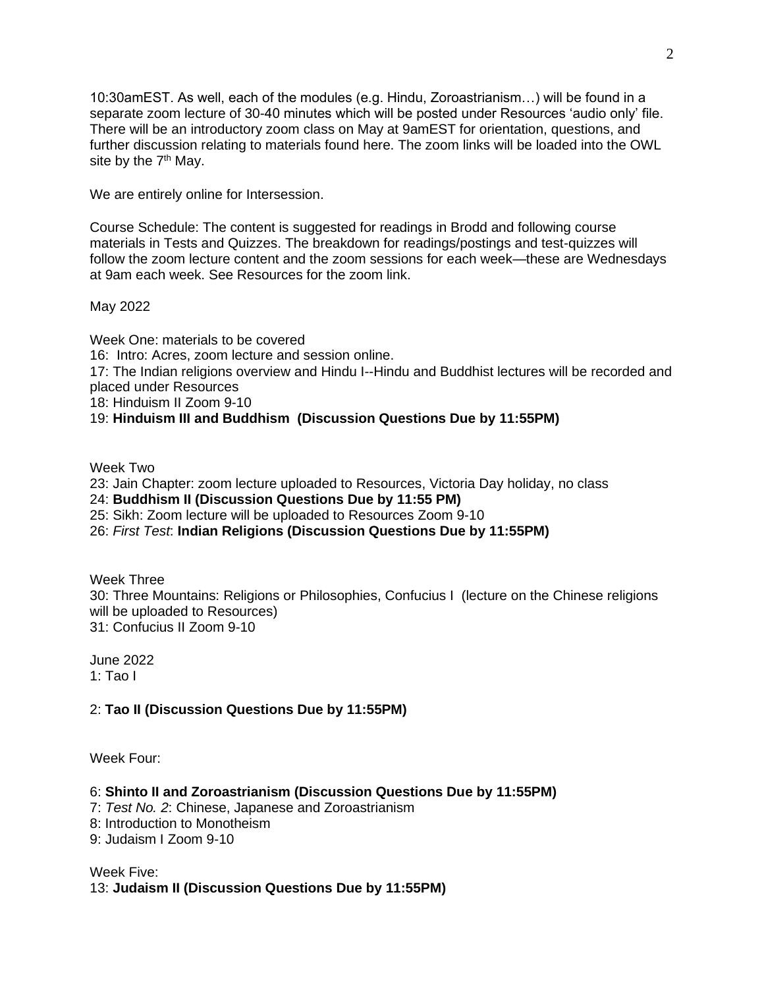10:30amEST. As well, each of the modules (e.g. Hindu, Zoroastrianism…) will be found in a separate zoom lecture of 30-40 minutes which will be posted under Resources 'audio only' file. There will be an introductory zoom class on May at 9amEST for orientation, questions, and further discussion relating to materials found here. The zoom links will be loaded into the OWL site by the  $7<sup>th</sup>$  May.

We are entirely online for Intersession.

Course Schedule: The content is suggested for readings in Brodd and following course materials in Tests and Quizzes. The breakdown for readings/postings and test-quizzes will follow the zoom lecture content and the zoom sessions for each week—these are Wednesdays at 9am each week. See Resources for the zoom link.

May 2022

Week One: materials to be covered 16: Intro: Acres, zoom lecture and session online. 17: The Indian religions overview and Hindu I--Hindu and Buddhist lectures will be recorded and placed under Resources 18: Hinduism II Zoom 9-10 19: **Hinduism III and Buddhism (Discussion Questions Due by 11:55PM)**

Week Two

23: Jain Chapter: zoom lecture uploaded to Resources, Victoria Day holiday, no class

24: **Buddhism II (Discussion Questions Due by 11:55 PM)**

25: Sikh: Zoom lecture will be uploaded to Resources Zoom 9-10

26: *First Test*: **Indian Religions (Discussion Questions Due by 11:55PM)**

Week Three 30: Three Mountains: Religions or Philosophies, Confucius I (lecture on the Chinese religions will be uploaded to Resources) 31: Confucius II Zoom 9-10

June 2022  $1:$  Tao I

## 2: **Tao II (Discussion Questions Due by 11:55PM)**

Week Four:

## 6: **Shinto II and Zoroastrianism (Discussion Questions Due by 11:55PM)**

7: *Test No. 2*: Chinese, Japanese and Zoroastrianism

- 8: Introduction to Monotheism
- 9: Judaism I Zoom 9-10

Week Five: 13: **Judaism II (Discussion Questions Due by 11:55PM)**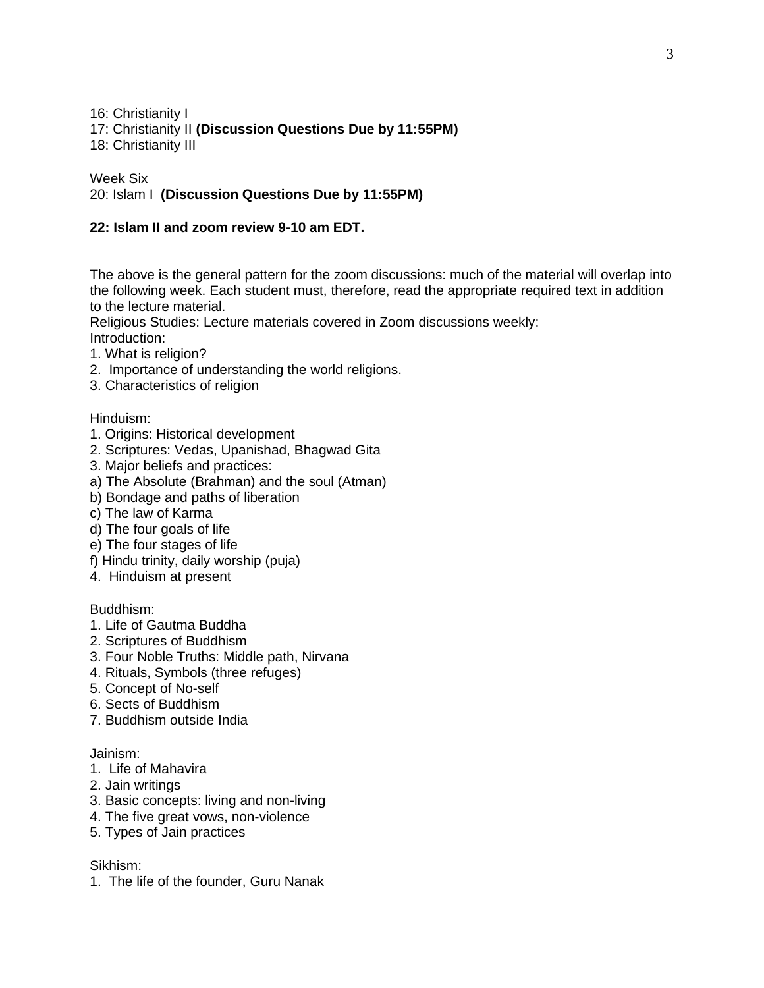16: Christianity I

17: Christianity II **(Discussion Questions Due by 11:55PM)**

18: Christianity III

Week Six 20: Islam I **(Discussion Questions Due by 11:55PM)**

## **22: Islam II and zoom review 9-10 am EDT.**

The above is the general pattern for the zoom discussions: much of the material will overlap into the following week. Each student must, therefore, read the appropriate required text in addition to the lecture material.

Religious Studies: Lecture materials covered in Zoom discussions weekly: Introduction:

- 1. What is religion?
- 2. Importance of understanding the world religions.
- 3. Characteristics of religion

Hinduism:

- 1. Origins: Historical development
- 2. Scriptures: Vedas, Upanishad, Bhagwad Gita
- 3. Major beliefs and practices:
- a) The Absolute (Brahman) and the soul (Atman)
- b) Bondage and paths of liberation
- c) The law of Karma
- d) The four goals of life
- e) The four stages of life
- f) Hindu trinity, daily worship (puja)
- 4. Hinduism at present

Buddhism:

- 1. Life of Gautma Buddha
- 2. Scriptures of Buddhism
- 3. Four Noble Truths: Middle path, Nirvana
- 4. Rituals, Symbols (three refuges)
- 5. Concept of No-self
- 6. Sects of Buddhism
- 7. Buddhism outside India

## Jainism:

- 1. Life of Mahavira
- 2. Jain writings
- 3. Basic concepts: living and non-living
- 4. The five great vows, non-violence
- 5. Types of Jain practices

Sikhism:

1. The life of the founder, Guru Nanak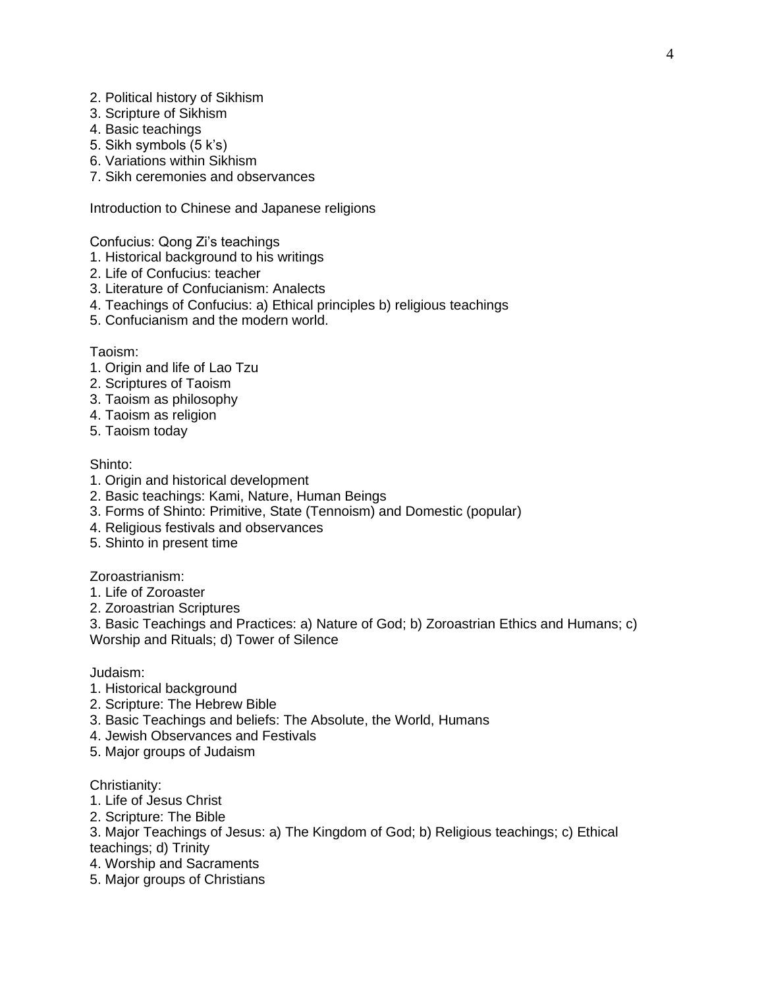- 2. Political history of Sikhism
- 3. Scripture of Sikhism
- 4. Basic teachings
- 5. Sikh symbols (5 k's)
- 6. Variations within Sikhism
- 7. Sikh ceremonies and observances

Introduction to Chinese and Japanese religions

Confucius: Qong Zi's teachings

- 1. Historical background to his writings
- 2. Life of Confucius: teacher
- 3. Literature of Confucianism: Analects
- 4. Teachings of Confucius: a) Ethical principles b) religious teachings
- 5. Confucianism and the modern world.

## Taoism:

- 1. Origin and life of Lao Tzu
- 2. Scriptures of Taoism
- 3. Taoism as philosophy
- 4. Taoism as religion
- 5. Taoism today

## Shinto:

- 1. Origin and historical development
- 2. Basic teachings: Kami, Nature, Human Beings
- 3. Forms of Shinto: Primitive, State (Tennoism) and Domestic (popular)
- 4. Religious festivals and observances
- 5. Shinto in present time

## Zoroastrianism:

- 1. Life of Zoroaster
- 2. Zoroastrian Scriptures

3. Basic Teachings and Practices: a) Nature of God; b) Zoroastrian Ethics and Humans; c) Worship and Rituals; d) Tower of Silence

## Judaism:

- 1. Historical background
- 2. Scripture: The Hebrew Bible
- 3. Basic Teachings and beliefs: The Absolute, the World, Humans
- 4. Jewish Observances and Festivals
- 5. Major groups of Judaism

## Christianity:

- 1. Life of Jesus Christ
- 2. Scripture: The Bible
- 3. Major Teachings of Jesus: a) The Kingdom of God; b) Religious teachings; c) Ethical teachings; d) Trinity
- 4. Worship and Sacraments
- 5. Major groups of Christians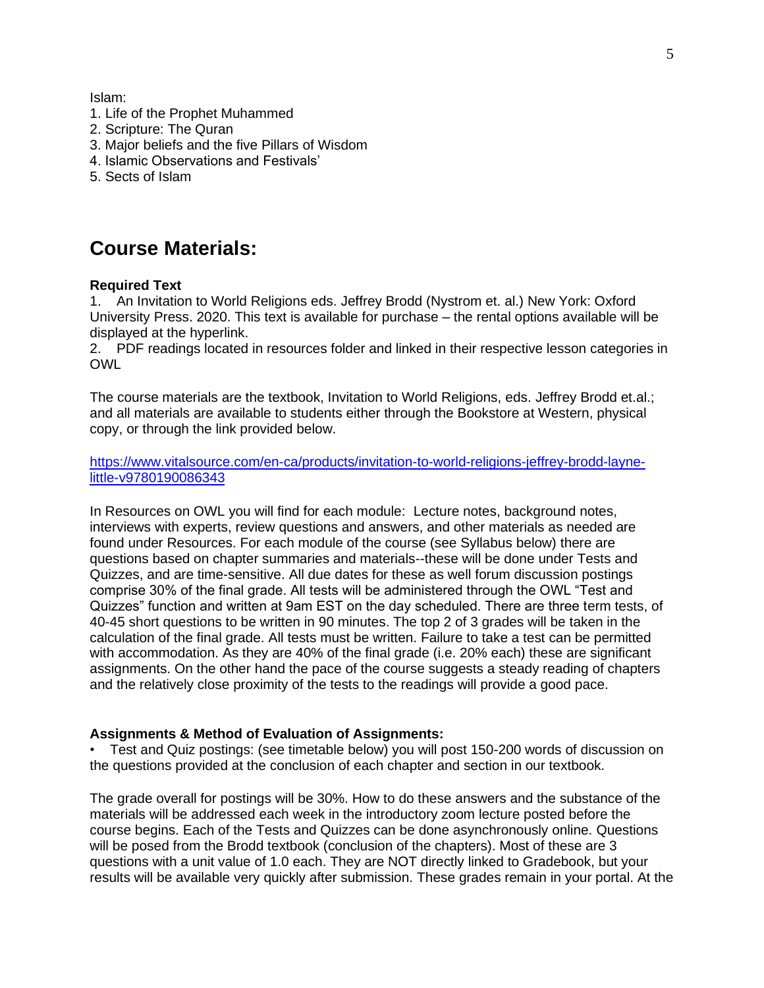Islam:

- 1. Life of the Prophet Muhammed
- 2. Scripture: The Quran
- 3. Major beliefs and the five Pillars of Wisdom
- 4. Islamic Observations and Festivals'
- 5. Sects of Islam

## **Course Materials:**

### **Required Text**

1. An Invitation to World Religions eds. Jeffrey Brodd (Nystrom et. al.) New York: Oxford University Press. 2020. This text is available for purchase – the rental options available will be displayed at the hyperlink.

2. PDF readings located in resources folder and linked in their respective lesson categories in OWL

The course materials are the textbook, Invitation to World Religions, eds. Jeffrey Brodd et.al.; and all materials are available to students either through the Bookstore at Western, physical copy, or through the link provided below.

[https://www.vitalsource.com/en-ca/products/invitation-to-world-religions-jeffrey-brodd-layne](https://www.vitalsource.com/en-ca/products/invitation-to-world-religions-jeffrey-brodd-layne-little-v9780190086343)[little-v9780190086343](https://www.vitalsource.com/en-ca/products/invitation-to-world-religions-jeffrey-brodd-layne-little-v9780190086343)

In Resources on OWL you will find for each module: Lecture notes, background notes, interviews with experts, review questions and answers, and other materials as needed are found under Resources. For each module of the course (see Syllabus below) there are questions based on chapter summaries and materials--these will be done under Tests and Quizzes, and are time-sensitive. All due dates for these as well forum discussion postings comprise 30% of the final grade. All tests will be administered through the OWL "Test and Quizzes" function and written at 9am EST on the day scheduled. There are three term tests, of 40-45 short questions to be written in 90 minutes. The top 2 of 3 grades will be taken in the calculation of the final grade. All tests must be written. Failure to take a test can be permitted with accommodation. As they are 40% of the final grade (i.e. 20% each) these are significant assignments. On the other hand the pace of the course suggests a steady reading of chapters and the relatively close proximity of the tests to the readings will provide a good pace.

## **Assignments & Method of Evaluation of Assignments:**

• Test and Quiz postings: (see timetable below) you will post 150-200 words of discussion on the questions provided at the conclusion of each chapter and section in our textbook.

The grade overall for postings will be 30%. How to do these answers and the substance of the materials will be addressed each week in the introductory zoom lecture posted before the course begins. Each of the Tests and Quizzes can be done asynchronously online. Questions will be posed from the Brodd textbook (conclusion of the chapters). Most of these are 3 questions with a unit value of 1.0 each. They are NOT directly linked to Gradebook, but your results will be available very quickly after submission. These grades remain in your portal. At the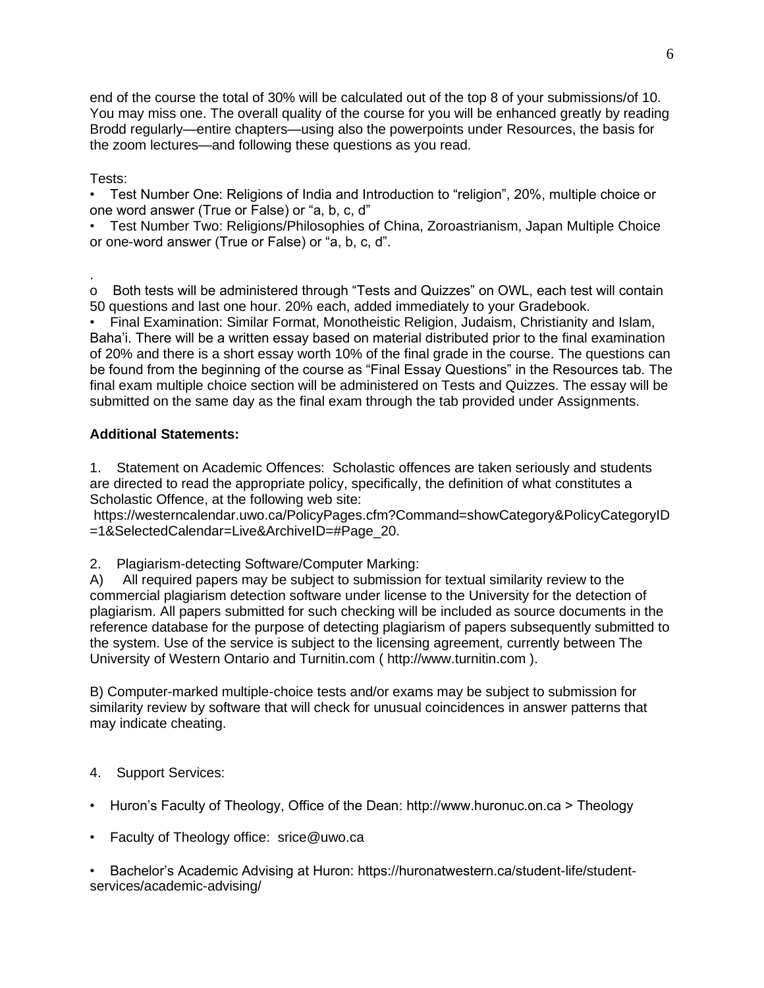end of the course the total of 30% will be calculated out of the top 8 of your submissions/of 10. You may miss one. The overall quality of the course for you will be enhanced greatly by reading Brodd regularly—entire chapters—using also the powerpoints under Resources, the basis for the zoom lectures—and following these questions as you read.

Tests:

• Test Number One: Religions of India and Introduction to "religion", 20%, multiple choice or one word answer (True or False) or "a, b, c, d"

• Test Number Two: Religions/Philosophies of China, Zoroastrianism, Japan Multiple Choice or one-word answer (True or False) or "a, b, c, d".

. o Both tests will be administered through "Tests and Quizzes" on OWL, each test will contain 50 questions and last one hour. 20% each, added immediately to your Gradebook.

• Final Examination: Similar Format, Monotheistic Religion, Judaism, Christianity and Islam, Baha'i. There will be a written essay based on material distributed prior to the final examination of 20% and there is a short essay worth 10% of the final grade in the course. The questions can be found from the beginning of the course as "Final Essay Questions" in the Resources tab. The final exam multiple choice section will be administered on Tests and Quizzes. The essay will be submitted on the same day as the final exam through the tab provided under Assignments.

## **Additional Statements:**

1. Statement on Academic Offences: Scholastic offences are taken seriously and students are directed to read the appropriate policy, specifically, the definition of what constitutes a Scholastic Offence, at the following web site:

https://westerncalendar.uwo.ca/PolicyPages.cfm?Command=showCategory&PolicyCategoryID =1&SelectedCalendar=Live&ArchiveID=#Page\_20.

2. Plagiarism-detecting Software/Computer Marking:

A) All required papers may be subject to submission for textual similarity review to the commercial plagiarism detection software under license to the University for the detection of plagiarism. All papers submitted for such checking will be included as source documents in the reference database for the purpose of detecting plagiarism of papers subsequently submitted to the system. Use of the service is subject to the licensing agreement, currently between The University of Western Ontario and Turnitin.com ( http://www.turnitin.com ).

B) Computer-marked multiple-choice tests and/or exams may be subject to submission for similarity review by software that will check for unusual coincidences in answer patterns that may indicate cheating.

## 4. Support Services:

- Huron's Faculty of Theology, Office of the Dean: http://www.huronuc.on.ca > Theology
- Faculty of Theology office: srice@uwo.ca

• Bachelor's Academic Advising at Huron: https://huronatwestern.ca/student-life/studentservices/academic-advising/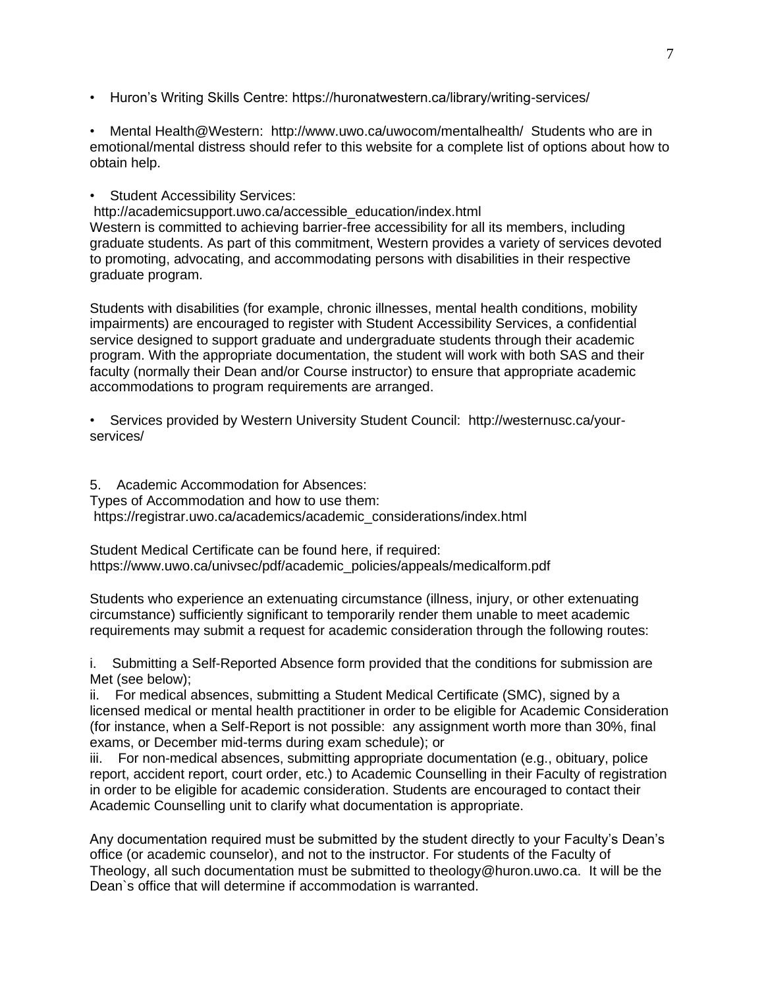• Huron's Writing Skills Centre: https://huronatwestern.ca/library/writing-services/

• Mental Health@Western: http://www.uwo.ca/uwocom/mentalhealth/ Students who are in emotional/mental distress should refer to this website for a complete list of options about how to obtain help.

Student Accessibility Services:

http://academicsupport.uwo.ca/accessible\_education/index.html Western is committed to achieving barrier-free accessibility for all its members, including graduate students. As part of this commitment, Western provides a variety of services devoted to promoting, advocating, and accommodating persons with disabilities in their respective graduate program.

Students with disabilities (for example, chronic illnesses, mental health conditions, mobility impairments) are encouraged to register with Student Accessibility Services, a confidential service designed to support graduate and undergraduate students through their academic program. With the appropriate documentation, the student will work with both SAS and their faculty (normally their Dean and/or Course instructor) to ensure that appropriate academic accommodations to program requirements are arranged.

• Services provided by Western University Student Council: http://westernusc.ca/yourservices/

5. Academic Accommodation for Absences: Types of Accommodation and how to use them: https://registrar.uwo.ca/academics/academic\_considerations/index.html

Student Medical Certificate can be found here, if required: https://www.uwo.ca/univsec/pdf/academic\_policies/appeals/medicalform.pdf

Students who experience an extenuating circumstance (illness, injury, or other extenuating circumstance) sufficiently significant to temporarily render them unable to meet academic requirements may submit a request for academic consideration through the following routes:

i. Submitting a Self-Reported Absence form provided that the conditions for submission are Met (see below);

ii. For medical absences, submitting a Student Medical Certificate (SMC), signed by a licensed medical or mental health practitioner in order to be eligible for Academic Consideration (for instance, when a Self-Report is not possible: any assignment worth more than 30%, final exams, or December mid-terms during exam schedule); or

iii. For non-medical absences, submitting appropriate documentation (e.g., obituary, police report, accident report, court order, etc.) to Academic Counselling in their Faculty of registration in order to be eligible for academic consideration. Students are encouraged to contact their Academic Counselling unit to clarify what documentation is appropriate.

Any documentation required must be submitted by the student directly to your Faculty's Dean's office (or academic counselor), and not to the instructor. For students of the Faculty of Theology, all such documentation must be submitted to theology@huron.uwo.ca. It will be the Dean`s office that will determine if accommodation is warranted.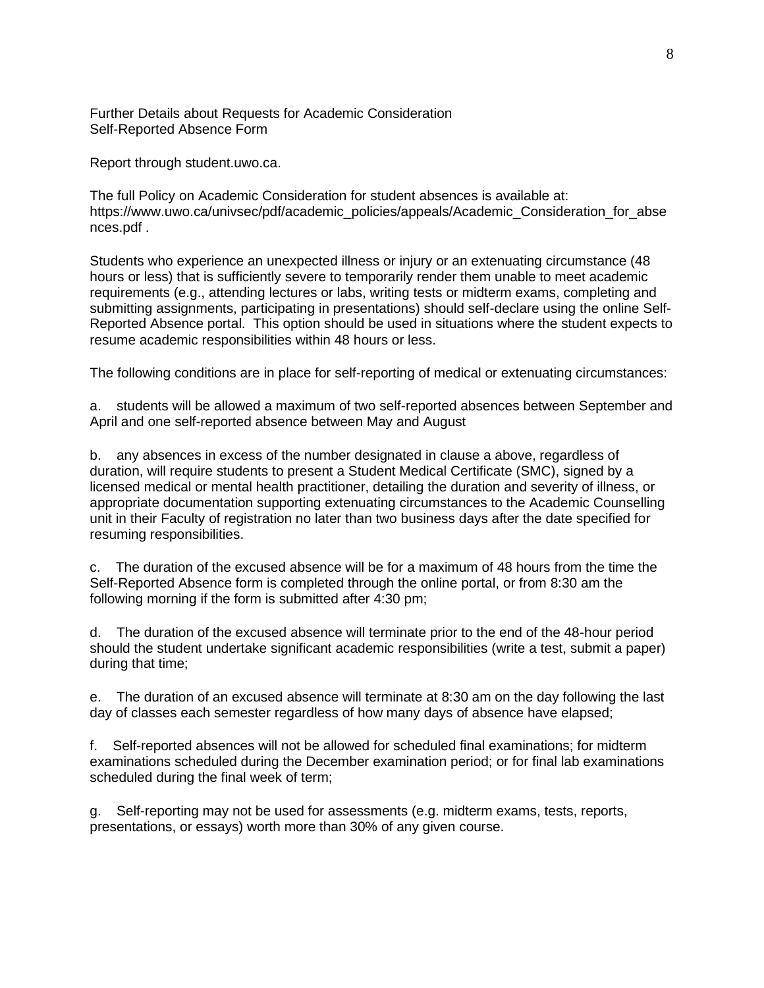Further Details about Requests for Academic Consideration Self-Reported Absence Form

Report through student.uwo.ca.

The full Policy on Academic Consideration for student absences is available at: https://www.uwo.ca/univsec/pdf/academic\_policies/appeals/Academic\_Consideration\_for\_abse nces.pdf .

Students who experience an unexpected illness or injury or an extenuating circumstance (48 hours or less) that is sufficiently severe to temporarily render them unable to meet academic requirements (e.g., attending lectures or labs, writing tests or midterm exams, completing and submitting assignments, participating in presentations) should self-declare using the online Self-Reported Absence portal. This option should be used in situations where the student expects to resume academic responsibilities within 48 hours or less.

The following conditions are in place for self-reporting of medical or extenuating circumstances:

a. students will be allowed a maximum of two self-reported absences between September and April and one self-reported absence between May and August

b. any absences in excess of the number designated in clause a above, regardless of duration, will require students to present a Student Medical Certificate (SMC), signed by a licensed medical or mental health practitioner, detailing the duration and severity of illness, or appropriate documentation supporting extenuating circumstances to the Academic Counselling unit in their Faculty of registration no later than two business days after the date specified for resuming responsibilities.

c. The duration of the excused absence will be for a maximum of 48 hours from the time the Self-Reported Absence form is completed through the online portal, or from 8:30 am the following morning if the form is submitted after 4:30 pm;

d. The duration of the excused absence will terminate prior to the end of the 48-hour period should the student undertake significant academic responsibilities (write a test, submit a paper) during that time;

e. The duration of an excused absence will terminate at 8:30 am on the day following the last day of classes each semester regardless of how many days of absence have elapsed;

f. Self-reported absences will not be allowed for scheduled final examinations; for midterm examinations scheduled during the December examination period; or for final lab examinations scheduled during the final week of term;

g. Self-reporting may not be used for assessments (e.g. midterm exams, tests, reports, presentations, or essays) worth more than 30% of any given course.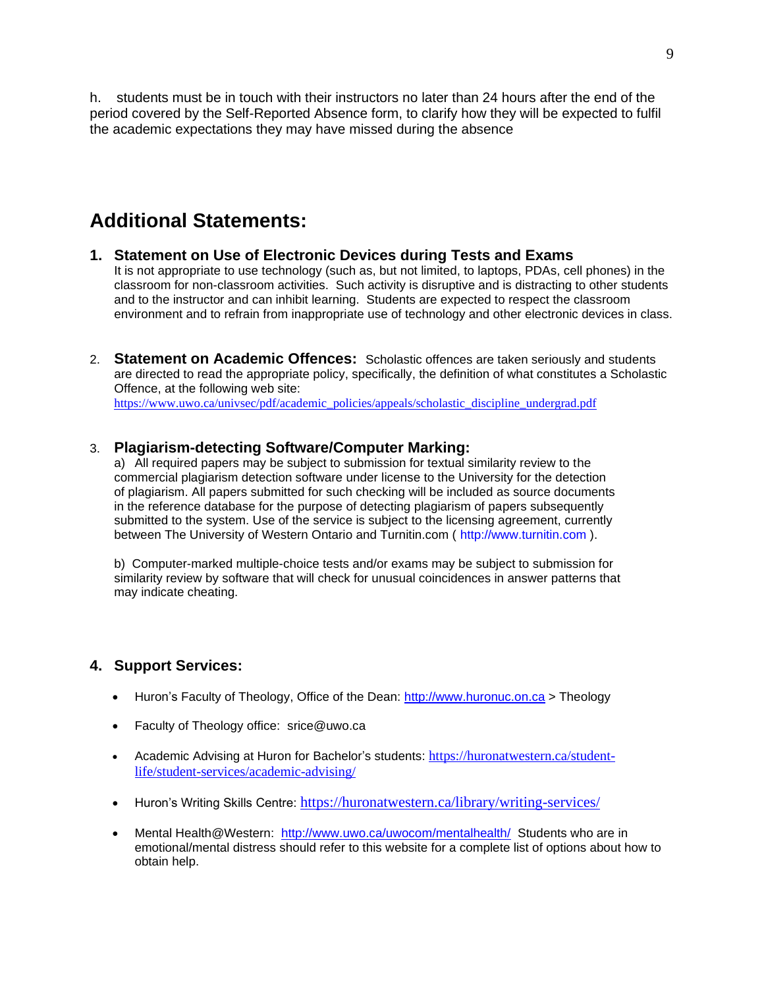h. students must be in touch with their instructors no later than 24 hours after the end of the period covered by the Self-Reported Absence form, to clarify how they will be expected to fulfil the academic expectations they may have missed during the absence

# **Additional Statements:**

## **1. Statement on Use of Electronic Devices during Tests and Exams**  It is not appropriate to use technology (such as, but not limited, to laptops, PDAs, cell phones) in the classroom for non-classroom activities. Such activity is disruptive and is distracting to other students and to the instructor and can inhibit learning. Students are expected to respect the classroom environment and to refrain from inappropriate use of technology and other electronic devices in class.

2. **Statement on Academic Offences:** Scholastic offences are taken seriously and students are directed to read the appropriate policy, specifically, the definition of what constitutes a Scholastic Offence, at the following web site: https://www<u>.uwo.ca/univsec/pdf/academic\_policies/appeals/scholastic\_discipline\_undergrad.pdf</u>

## 3. **Plagiarism-detecting Software/Computer Marking:**

a) All required papers may be subject to submission for textual similarity review to the commercial plagiarism detection software under license to the University for the detection of plagiarism. All papers submitted for such checking will be included as source documents in the reference database for the purpose of detecting plagiarism of papers subsequently submitted to the system. Use of the service is subject to the licensing agreement, currently between The University of Western Ontario and Turnitin.com ( http://www.turnitin.com ).

b) Computer-marked multiple-choice tests and/or exams may be subject to submission for similarity review by software that will check for unusual coincidences in answer patterns that may indicate cheating.

## **4. Support Services:**

- Huron's Faculty of Theology, Office of the Dean: [http://www.huronuc.on.ca](http://www.huronuc.on.ca/) > Theology
- Faculty of Theology office: srice@uwo.ca
- Academic Advising at Huron for Bachelor's students: [https://huronatwestern.ca/student](https://huronatwestern.ca/student-life/student-services/academic-advising/)[life/student-services/academic-advising/](https://huronatwestern.ca/student-life/student-services/academic-advising/)
- Huron's Writing Skills Centre: <https://huronatwestern.ca/library/writing-services/>
- Mental Health@Western: <http://www.uwo.ca/uwocom/mentalhealth/>Students who are in emotional/mental distress should refer to this website for a complete list of options about how to obtain help.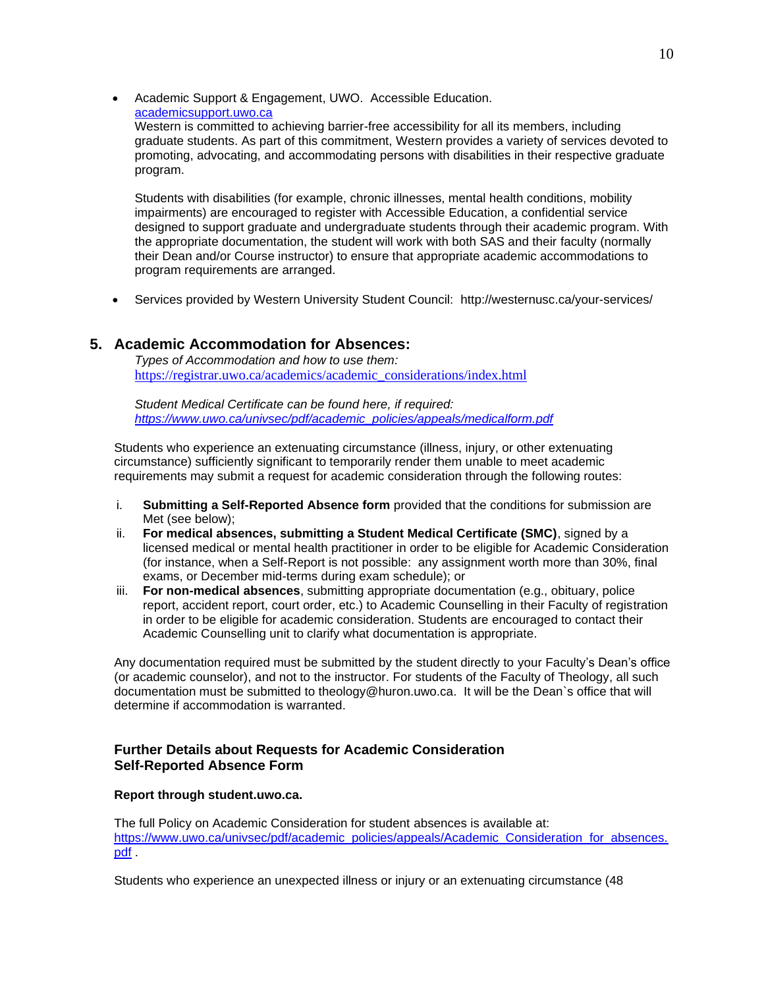• Academic Support & Engagement, UWO. Accessible Education. [academicsupport.uwo.ca](../../Downloads/academicsupport.uwo.ca)

Western is committed to achieving barrier-free accessibility for all its members, including graduate students. As part of this commitment, Western provides a variety of services devoted to promoting, advocating, and accommodating persons with disabilities in their respective graduate program.

Students with disabilities (for example, chronic illnesses, mental health conditions, mobility impairments) are encouraged to register with Accessible Education, a confidential service designed to support graduate and undergraduate students through their academic program. With the appropriate documentation, the student will work with both SAS and their faculty (normally their Dean and/or Course instructor) to ensure that appropriate academic accommodations to program requirements are arranged.

• Services provided by Western University Student Council: http://westernusc.ca/your-services/

## **5. Academic Accommodation for Absences:**

*Types of Accommodation and how to use them:*  [https://registrar.uwo.ca/academics/academic\\_considerations/index.html](https://registrar.uwo.ca/academics/academic_considerations/index.html)

*Student Medical Certificate can be found here, if required: [https://www.uwo.ca/univsec/pdf/academic\\_policies/appeals/medicalform.pdf](https://www.uwo.ca/univsec/pdf/academic_policies/appeals/medicalform.pdf)*

Students who experience an extenuating circumstance (illness, injury, or other extenuating circumstance) sufficiently significant to temporarily render them unable to meet academic requirements may submit a request for academic consideration through the following routes:

- i. **Submitting a Self-Reported Absence form** provided that the conditions for submission are Met (see below);
- ii. **For medical absences, submitting a Student Medical Certificate (SMC)**, signed by a licensed medical or mental health practitioner in order to be eligible for Academic Consideration (for instance, when a Self-Report is not possible: any assignment worth more than 30%, final exams, or December mid-terms during exam schedule); or
- iii. **For non-medical absences**, submitting appropriate documentation (e.g., obituary, police report, accident report, court order, etc.) to Academic Counselling in their Faculty of registration in order to be eligible for academic consideration. Students are encouraged to contact their Academic Counselling unit to clarify what documentation is appropriate.

Any documentation required must be submitted by the student directly to your Faculty's Dean's office (or academic counselor), and not to the instructor. For students of the Faculty of Theology, all such documentation must be submitted to theology@huron.uwo.ca. It will be the Dean`s office that will determine if accommodation is warranted.

## **Further Details about Requests for Academic Consideration Self-Reported Absence Form**

## **Report through student.uwo.ca.**

The full Policy on Academic Consideration for student absences is available at: [https://www.uwo.ca/univsec/pdf/academic\\_policies/appeals/Academic\\_Consideration\\_for\\_absences.](https://www.uwo.ca/univsec/pdf/academic_policies/appeals/Academic_Consideration_for_absences.pdf) [pdf](https://www.uwo.ca/univsec/pdf/academic_policies/appeals/Academic_Consideration_for_absences.pdf) .

Students who experience an unexpected illness or injury or an extenuating circumstance (48